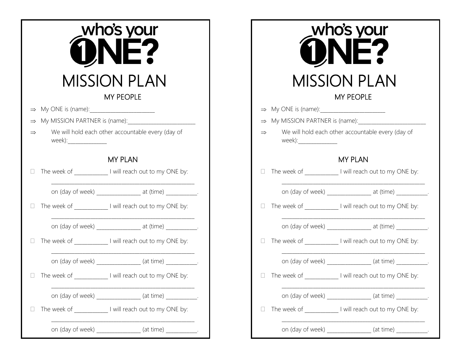|                               |                        | who's your<br>MISSION PLAN<br><b>MY PEOPLE</b>               |
|-------------------------------|------------------------|--------------------------------------------------------------|
|                               |                        |                                                              |
| My MISSION PARTNER is (name): |                        |                                                              |
|                               | week):________________ | We will hold each other accountable every (day of            |
|                               |                        | <b>MY PLAN</b>                                               |
|                               |                        | □ The week of ____________ I will reach out to my ONE by:    |
|                               |                        | on (day of week) ___________________ at (time) ____________. |
|                               |                        | □ The week of _____________ I will reach out to my ONE by:   |
|                               |                        | on (day of week) __________________ at (time) ____________.  |
|                               |                        | □ The week of _____________ I will reach out to my ONE by:   |
|                               |                        | on (day of week) ________________ (at time) ___________.     |
|                               | The week of            | I will reach out to my ONE by:                               |
|                               |                        | on (day of week) ________________ (at time) __________.      |
|                               |                        | The week of _____________ I will reach out to my ONE by:     |
|                               |                        | on (day of week) _______________ (at time) __________.       |

|                        | who's your                                                      |
|------------------------|-----------------------------------------------------------------|
|                        | <b>MISSION PLAN</b>                                             |
|                        | <b>MY PEOPLE</b>                                                |
|                        |                                                                 |
|                        | My MISSION PARTNER is (name):                                   |
| week):________________ | We will hold each other accountable every (day of               |
|                        | <b>MY PLAN</b>                                                  |
|                        | □ The week of _____________ I will reach out to my ONE by:      |
|                        | on (day of week) __________________ at (time) ____________.     |
|                        | $\Box$ The week of _____________ I will reach out to my ONE by: |
|                        | on (day of week) __________________ at (time) ____________.     |
|                        | $\Box$ The week of _____________ I will reach out to my ONE by: |
|                        | on (day of week) _______________ (at time) ___________.         |
|                        | $\Box$ The week of _____________ I will reach out to my ONE by: |
|                        | on (day of week) ________________ (at time) ___________.        |
|                        | The week of _______________ I will reach out to my ONE by:      |
| on (day of week)       | (at time)                                                       |